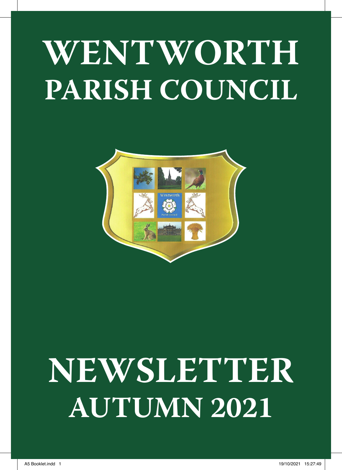# **WENTWORTH PARISH COUNCIL**



# **NEWSLETTER AUTUMN 2021**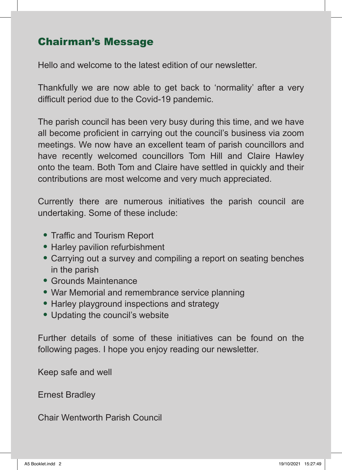# Chairman's Message

Hello and welcome to the latest edition of our newsletter.

Thankfully we are now able to get back to 'normality' after a very difficult period due to the Covid-19 pandemic.

The parish council has been very busy during this time, and we have all become proficient in carrying out the council's business via zoom meetings. We now have an excellent team of parish councillors and have recently welcomed councillors Tom Hill and Claire Hawley onto the team. Both Tom and Claire have settled in quickly and their contributions are most welcome and very much appreciated.

Currently there are numerous initiatives the parish council are undertaking. Some of these include:

- Traffic and Tourism Report
- Harley pavilion refurbishment
- Carrying out a survey and compiling a report on seating benches in the parish
- Grounds Maintenance
- War Memorial and remembrance service planning
- Harley playground inspections and strategy
- Updating the council's website

Further details of some of these initiatives can be found on the following pages. I hope you enjoy reading our newsletter.

Keep safe and well

Ernest Bradley

Chair Wentworth Parish Council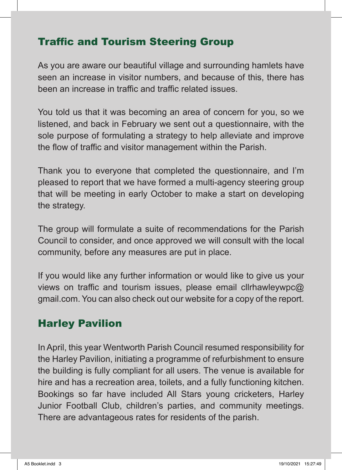## Traffic and Tourism Steering Group

As you are aware our beautiful village and surrounding hamlets have seen an increase in visitor numbers, and because of this, there has been an increase in traffic and traffic related issues.

You told us that it was becoming an area of concern for you, so we listened, and back in February we sent out a questionnaire, with the sole purpose of formulating a strategy to help alleviate and improve the flow of traffic and visitor management within the Parish.

Thank you to everyone that completed the questionnaire, and I'm pleased to report that we have formed a multi-agency steering group that will be meeting in early October to make a start on developing the strategy.

The group will formulate a suite of recommendations for the Parish Council to consider, and once approved we will consult with the local community, before any measures are put in place.

If you would like any further information or would like to give us your views on traffic and tourism issues, please email cllrhawleywpc@ gmail.com. You can also check out our website for a copy of the report.

# Harley Pavilion

In April, this year Wentworth Parish Council resumed responsibility for the Harley Pavilion, initiating a programme of refurbishment to ensure the building is fully compliant for all users. The venue is available for hire and has a recreation area, toilets, and a fully functioning kitchen. Bookings so far have included All Stars young cricketers, Harley Junior Football Club, children's parties, and community meetings. There are advantageous rates for residents of the parish.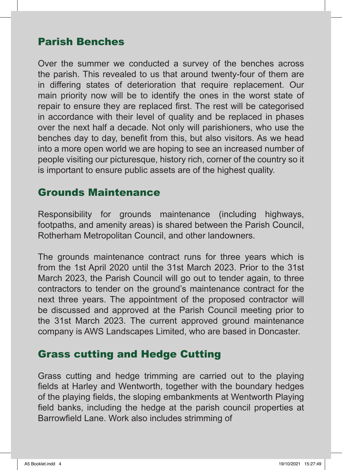## Parish Benches

Over the summer we conducted a survey of the benches across the parish. This revealed to us that around twenty-four of them are in differing states of deterioration that require replacement. Our main priority now will be to identify the ones in the worst state of repair to ensure they are replaced first. The rest will be categorised in accordance with their level of quality and be replaced in phases over the next half a decade. Not only will parishioners, who use the benches day to day, benefit from this, but also visitors. As we head into a more open world we are hoping to see an increased number of people visiting our picturesque, history rich, corner of the country so it is important to ensure public assets are of the highest quality.

#### Grounds Maintenance

Responsibility for grounds maintenance (including highways, footpaths, and amenity areas) is shared between the Parish Council, Rotherham Metropolitan Council, and other landowners.

The grounds maintenance contract runs for three years which is from the 1st April 2020 until the 31st March 2023. Prior to the 31st March 2023, the Parish Council will go out to tender again, to three contractors to tender on the ground's maintenance contract for the next three years. The appointment of the proposed contractor will be discussed and approved at the Parish Council meeting prior to the 31st March 2023. The current approved ground maintenance company is AWS Landscapes Limited, who are based in Doncaster.

#### Grass cutting and Hedge Cutting

Grass cutting and hedge trimming are carried out to the playing fields at Harley and Wentworth, together with the boundary hedges of the playing fields, the sloping embankments at Wentworth Playing field banks, including the hedge at the parish council properties at Barrowfield Lane. Work also includes strimming of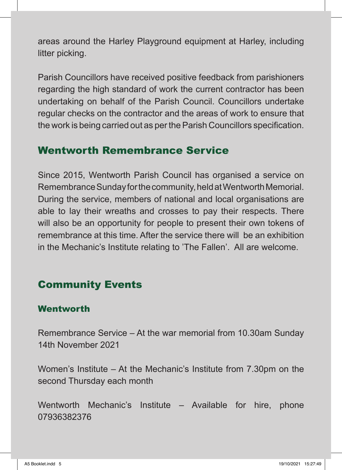areas around the Harley Playground equipment at Harley, including litter picking.

Parish Councillors have received positive feedback from parishioners regarding the high standard of work the current contractor has been undertaking on behalf of the Parish Council. Councillors undertake regular checks on the contractor and the areas of work to ensure that the work is being carried out as per the Parish Councillors specification.

#### Wentworth Remembrance Service

Since 2015, Wentworth Parish Council has organised a service on Remembrance Sunday for the community, held at Wentworth Memorial. During the service, members of national and local organisations are able to lay their wreaths and crosses to pay their respects. There will also be an opportunity for people to present their own tokens of remembrance at this time. After the service there will be an exhibition in the Mechanic's Institute relating to 'The Fallen'. All are welcome.

# Community Events

#### Wentworth

Remembrance Service – At the war memorial from 10.30am Sunday 14th November 2021

Women's Institute – At the Mechanic's Institute from 7.30pm on the second Thursday each month

Wentworth Mechanic's Institute – Available for hire, phone 07936382376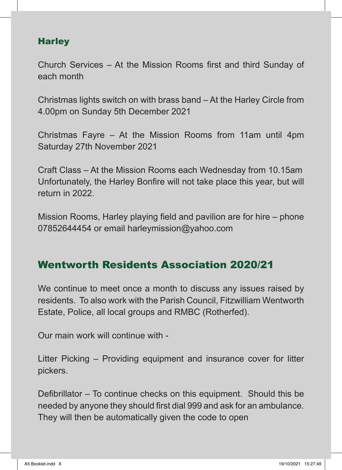#### **Harley**

Church Services – At the Mission Rooms first and third Sunday of each month

Christmas lights switch on with brass band – At the Harley Circle from 4.00pm on Sunday 5th December 2021

Christmas Fayre – At the Mission Rooms from 11am until 4pm Saturday 27th November 2021

Craft Class – At the Mission Rooms each Wednesday from 10.15am Unfortunately, the Harley Bonfire will not take place this year, but will return in 2022.

Mission Rooms, Harley playing field and pavilion are for hire – phone 07852644454 or email harleymission@yahoo.com

# Wentworth Residents Association 2020/21

We continue to meet once a month to discuss any issues raised by residents. To also work with the Parish Council, Fitzwilliam Wentworth Estate, Police, all local groups and RMBC (Rotherfed).

Our main work will continue with -

Litter Picking – Providing equipment and insurance cover for litter pickers.

Defibrillator – To continue checks on this equipment. Should this be needed by anyone they should first dial 999 and ask for an ambulance. They will then be automatically given the code to open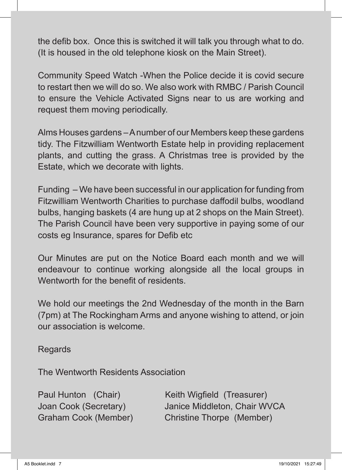the defib box. Once this is switched it will talk you through what to do. (It is housed in the old telephone kiosk on the Main Street).

Community Speed Watch -When the Police decide it is covid secure to restart then we will do so. We also work with RMBC / Parish Council to ensure the Vehicle Activated Signs near to us are working and request them moving periodically.

Alms Houses gardens – A number of our Members keep these gardens tidy. The Fitzwilliam Wentworth Estate help in providing replacement plants, and cutting the grass. A Christmas tree is provided by the Estate, which we decorate with lights.

Funding – We have been successful in our application for funding from Fitzwilliam Wentworth Charities to purchase daffodil bulbs, woodland bulbs, hanging baskets (4 are hung up at 2 shops on the Main Street). The Parish Council have been very supportive in paying some of our costs eg Insurance, spares for Defib etc

Our Minutes are put on the Notice Board each month and we will endeavour to continue working alongside all the local groups in Wentworth for the benefit of residents.

We hold our meetings the 2nd Wednesday of the month in the Barn (7pm) at The Rockingham Arms and anyone wishing to attend, or join our association is welcome.

Regards

The Wentworth Residents Association

Paul Hunton (Chair) Keith Wigfield (Treasurer) Joan Cook (Secretary) Janice Middleton, Chair WVCA Graham Cook (Member) Christine Thorpe (Member)